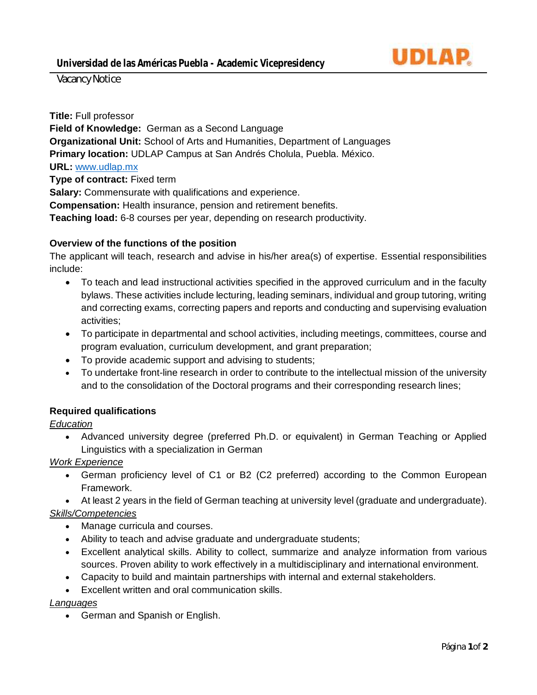

Vacancy Notice

**Title:** Full professor

**Field of Knowledge:** German as a Second Language **Organizational Unit:** School of Arts and Humanities, Department of Languages **Primary location:** UDLAP Campus at San Andrés Cholula, Puebla. México. **URL:** [www.udlap.mx](http://www.udlap.mx/) **Type of contract:** Fixed term **Salary:** Commensurate with qualifications and experience. **Compensation:** Health insurance, pension and retirement benefits.

**Teaching load:** 6-8 courses per year, depending on research productivity.

# **Overview of the functions of the position**

The applicant will teach, research and advise in his/her area(s) of expertise. Essential responsibilities include:

- To teach and lead instructional activities specified in the approved curriculum and in the faculty bylaws. These activities include lecturing, leading seminars, individual and group tutoring, writing and correcting exams, correcting papers and reports and conducting and supervising evaluation activities;
- To participate in departmental and school activities, including meetings, committees, course and program evaluation, curriculum development, and grant preparation;
- To provide academic support and advising to students;
- To undertake front-line research in order to contribute to the intellectual mission of the university and to the consolidation of the Doctoral programs and their corresponding research lines;

# **Required qualifications**

#### *Education*

• Advanced university degree (preferred Ph.D. or equivalent) in German Teaching or Applied Linguistics with a specialization in German

*Work Experience*

• German proficiency level of C1 or B2 (C2 preferred) according to the Common European Framework.

• At least 2 years in the field of German teaching at university level (graduate and undergraduate). *Skills/Competencies*

- Manage curricula and courses.
- Ability to teach and advise graduate and undergraduate students;
- Excellent analytical skills. Ability to collect, summarize and analyze information from various sources. Proven ability to work effectively in a multidisciplinary and international environment.
- Capacity to build and maintain partnerships with internal and external stakeholders.
- Excellent written and oral communication skills.

*Languages*

• German and Spanish or English.